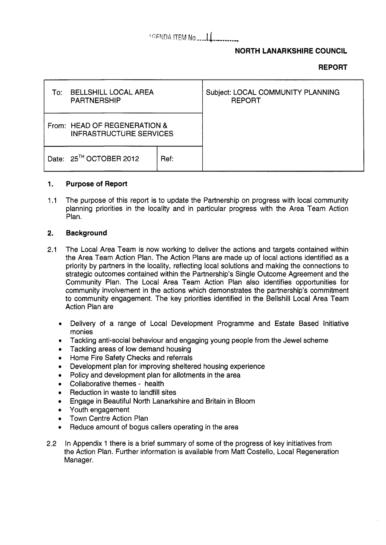# AGENDA ITEM NO........

## **NORTH LANARKSHIRE COUNCIL**

### **REPORT**

| To: | <b>BELLSHILL LOCAL AREA</b><br><b>PARTNERSHIP</b>              |      | Subject: LOCAL COMMUNITY PLANNING<br><b>REPORT</b> |
|-----|----------------------------------------------------------------|------|----------------------------------------------------|
|     | From: HEAD OF REGENERATION &<br><b>INFRASTRUCTURE SERVICES</b> |      |                                                    |
|     | Date: 25 <sup>TH</sup> OCTOBER 2012                            | Ref: |                                                    |

#### **1. Purpose of Report**

1.1 The purpose of this report is to update the Partnership on progress with local community planning priorities in the locality and in particular progress with the Area Team Action Plan.

#### **2. Background**

- 2.1 The Local Area Team is now working to deliver the actions and targets contained within the Area Team Action Plan. The Action Plans are made up of local actions identified as a priority by partners in the locality, reflecting local solutions and making the connections to strategic outcomes contained within the Partnership's Single Outcome Agreement and the Community Plan. The Local Area Team Action Plan also identifies opportunities for community involvement in the actions which demonstrates the partnership's commitment to community engagement. The key priorities identified in the Bellshill Local Area Team Action Plan are
	- Delivery of a range of Local Development Programme and Estate Based Initiative  $\bullet$ monies
	- Tackling anti-social behaviour and engaging young people from the Jewel scheme  $\bullet$
	- Tackling areas of low demand housing
	- Home Fire Safety Checks and referrals
	- Development plan for improving sheltered housing experience  $\bullet$
	- Policy and development plan for allotments in the area  $\bullet$
	- Collaborative themes health  $\bullet$
	- Reduction in waste to landfill sites
	- Engage in Beautiful North Lanarkshire and Britain in Bloom  $\bullet$
	- Youth engagement  $\bullet$
	- Town Centre Action Plan  $\bullet$
	- Reduce amount of bogus callers operating in the area
- 2.2 In Appendix 1 there is a brief summary of some of the progress of key initiatives from the Action Plan. Further information is available from Matt Costello, Local Regeneration Manager.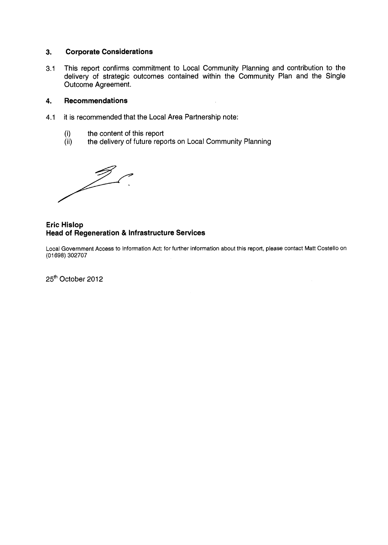#### **3. Corporate Considerations**

**3.1**  This report confirms commitment to Local Community Planning and contribution to the delivery of strategic outcomes contained within the Community Plan and the Single Outcome Agreement.

#### **4. Recommendations**

- **4.1**  it is recommended that the Local Area Partnership note:
	- (i) the content of this report
	- (ii) the delivery of future reports on Local Community Planning

### **Eric Hislop Head of Regeneration** & **Infrastructure Services**

Local Government Access to Information Act: for further information about this report, please contact Matt Costello on (01 698) 302707

25' October **2012**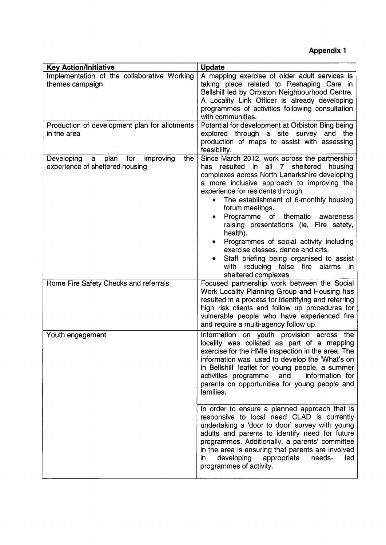**Appendix 1** 

| <b>Key Action/Initiative</b>                                                       | <b>Update</b>                                                                                                                                                                                                                                                                                                                                                                                                                                                                                                                                                                      |
|------------------------------------------------------------------------------------|------------------------------------------------------------------------------------------------------------------------------------------------------------------------------------------------------------------------------------------------------------------------------------------------------------------------------------------------------------------------------------------------------------------------------------------------------------------------------------------------------------------------------------------------------------------------------------|
| Implementation of the collaborative Working<br>themes campaign                     | A mapping exercise of older adult services is<br>taking place related to Reshaping Care in<br>Bellshill led by Orbiston Neighbourhood Centre.<br>A Locality Link Officer is already developing<br>programmes of activities following consultation<br>with communities.                                                                                                                                                                                                                                                                                                             |
| Production of development plan for allotments<br>in the area                       | Potential for development at Orbiston Bing being<br>explored through a site survey and the<br>production of maps to assist with assessing<br>feasibility.                                                                                                                                                                                                                                                                                                                                                                                                                          |
| plan<br>for improving<br>the<br>Developing<br>a<br>experience of sheltered housing | Since March 2012, work across the partnership<br>has resulted in all 7 sheltered<br>housing<br>complexes across North Lanarkshire developing<br>a more inclusive approach to improving the<br>experience for residents through<br>The establishment of 6-monthly housing<br>forum meetings.<br>Programme of thematic awareness<br>raising presentations (ie, Fire safety,<br>health).<br>Programmes of social activity including<br>exercise classes, dance and arts.<br>Staff briefing being organised to assist<br>with reducing false fire alarms<br>in.<br>sheltered complexes |
| Home Fire Safety Checks and referrals                                              | Focused partnership work between the Social<br>Work Locality Planning Group and Housing has<br>resulted in a process for identifying and referring<br>high risk clients and follow up procedures for<br>vulnerable people who have experienced fire<br>and require a multi-agency follow up.                                                                                                                                                                                                                                                                                       |
| Youth engagement                                                                   | Information on youth provision across the<br>locality was collated as part of a mapping<br>exercise for the HMIe inspection in the area. The<br>information was used to develop the 'What's on<br>in Bellshill' leaflet for young people, a summer<br>activities programme<br>and<br>information for<br>parents on opportunities for young people and<br>families.                                                                                                                                                                                                                 |
|                                                                                    | In order to ensure a planned approach that is<br>responsive to local need CLAD is currently<br>undertaking a 'door to door' survey with young<br>adults and parents to identify need for future<br>programmes. Additionally, a parents' committee<br>in the area is ensuring that parents are involved<br>developing<br>appropriate<br>needs-<br>led<br>in.<br>programmes of activity.                                                                                                                                                                                             |